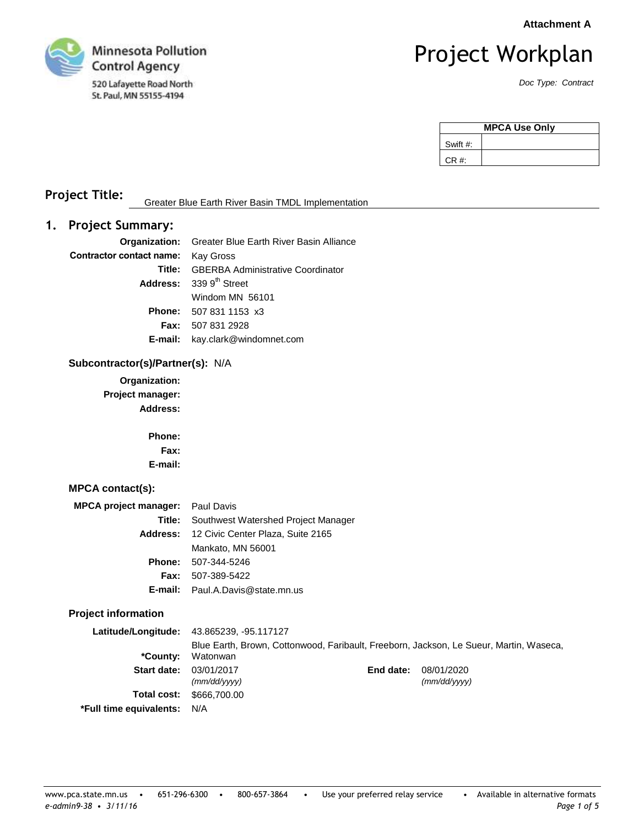**Attachment A**



# Project Workplan

*Doc Type: Contract*

| <b>MPCA Use Only</b> |  |  |
|----------------------|--|--|
| Swift #:             |  |  |
| CR#                  |  |  |

# **Project Title:** Greater Blue Earth River Basin TMDL Implementation

# **1. Project Summary:**

|                                           | <b>Organization:</b> Greater Blue Earth River Basin Alliance |
|-------------------------------------------|--------------------------------------------------------------|
| <b>Contractor contact name:</b> Kay Gross |                                                              |
|                                           | <b>Title:</b> GBERBA Administrative Coordinator              |
|                                           | Address: 339 9 <sup>th</sup> Street                          |
|                                           | Windom MN 56101                                              |
|                                           | <b>Phone:</b> 507 831 1153 x3                                |
|                                           | <b>Fax: 507 831 2928</b>                                     |
|                                           | <b>E-mail:</b> kay.clark@windomnet.com                       |

#### **Subcontractor(s)/Partner(s):** N/A

**Organization: Project manager: Address:**

> **Phone: Fax: E-mail:**

#### **MPCA contact(s):**

| MPCA project manager: Paul Davis |                                                   |
|----------------------------------|---------------------------------------------------|
|                                  | <b>Title:</b> Southwest Watershed Project Manager |
|                                  | Address: 12 Civic Center Plaza, Suite 2165        |
|                                  | Mankato, MN 56001                                 |
|                                  | <b>Phone: 507-344-5246</b>                        |
|                                  | <b>Fax:</b> 507-389-5422                          |
|                                  | <b>E-mail:</b> Paul.A.Davis@state.mn.us           |

### **Project information**

|                             | <b>Latitude/Longitude: 43.865239, -95.117127</b> |           |                                                                                        |
|-----------------------------|--------------------------------------------------|-----------|----------------------------------------------------------------------------------------|
| *County:                    | Watonwan                                         |           | Blue Earth, Brown, Cottonwood, Faribault, Freeborn, Jackson, Le Sueur, Martin, Waseca, |
|                             | <b>Start date: 03/01/2017</b><br>(mm/dd/vvvv)    | End date: | 08/01/2020<br>(mm/dd/vvvv)                                                             |
|                             | <b>Total cost: \$666,700.00</b>                  |           |                                                                                        |
| *Full time equivalents: N/A |                                                  |           |                                                                                        |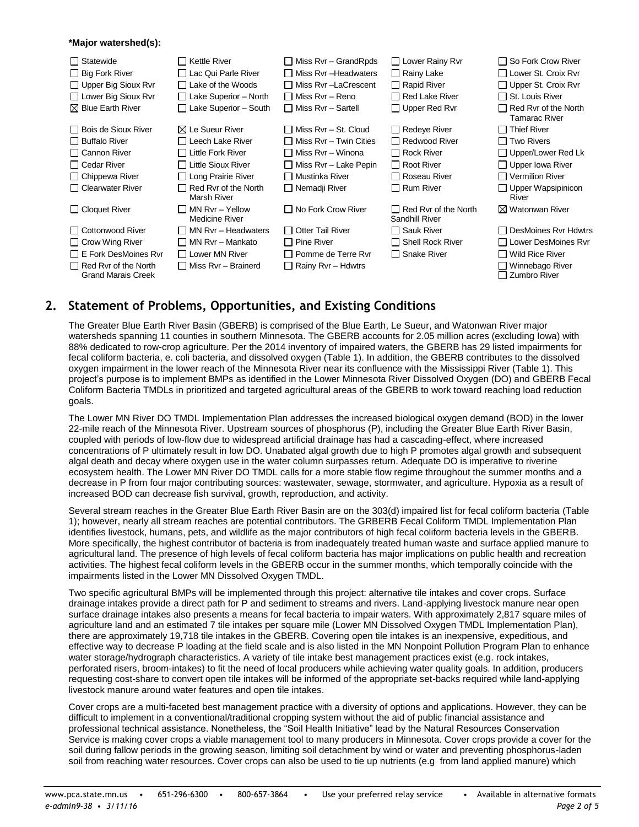#### **\*Major watershed(s):**

| Statewide<br>$\mathsf{L}$<br>$\Box$ Big Fork River<br>$\Box$ Upper Big Sioux Rvr<br>$\Box$ Lower Big Sioux Rvr<br>$\boxtimes$ Blue Earth River | ∏ Kettle River<br>□ Lac Qui Parle River<br>$\Box$ Lake of the Woods<br>$\Box$ Lake Superior – North<br>$\Box$ Lake Superior - South | $\Box$ Miss Rvr – Grand Rpds<br>□ Miss Rvr –Headwaters<br>□ Miss Rvr -LaCrescent<br>Miss Rvr - Reno<br>$\Box$ Miss Rvr – Sartell | □ Lower Rainy Rvr<br>$\Box$ Rainy Lake<br>$\Box$ Rapid River<br>$\Box$ Red Lake River<br>$\Box$ Upper Red Rvr | $\Box$ So Fork Crow River<br>□ Lower St. Croix Rvr<br>$\Box$ Upper St. Croix Rvr<br>$\Box$ St. Louis River<br>$\Box$ Red Ryr of the North<br><b>Tamarac River</b> |
|------------------------------------------------------------------------------------------------------------------------------------------------|-------------------------------------------------------------------------------------------------------------------------------------|----------------------------------------------------------------------------------------------------------------------------------|---------------------------------------------------------------------------------------------------------------|-------------------------------------------------------------------------------------------------------------------------------------------------------------------|
| □ Bois de Sioux River                                                                                                                          | $\boxtimes$ Le Sueur River                                                                                                          | □ Miss Rvr – St. Cloud                                                                                                           | $\Box$ Redeye River                                                                                           | $\Box$ Thief River                                                                                                                                                |
| $\Box$ Buffalo River                                                                                                                           | □ Leech Lake River                                                                                                                  | $\Box$ Miss Rvr – Twin Cities                                                                                                    | □ Redwood River                                                                                               | $\Box$ Two Rivers                                                                                                                                                 |
| $\Box$ Cannon River                                                                                                                            | $\Box$ Little Fork River                                                                                                            | □ Miss Rvr – Winona                                                                                                              | $\Box$ Rock River                                                                                             | $\Box$ Upper/Lower Red Lk                                                                                                                                         |
| □ Cedar River                                                                                                                                  | □ Little Sioux River                                                                                                                | $\Box$ Miss Rvr – Lake Pepin                                                                                                     | $\Box$ Root River                                                                                             | $\Box$ Upper lowa River                                                                                                                                           |
| $\Box$ Chippewa River                                                                                                                          | $\Box$ Long Prairie River                                                                                                           | Mustinka River                                                                                                                   | □ Roseau River                                                                                                | $\Box$ Vermilion River                                                                                                                                            |
| □ Clearwater River                                                                                                                             | $\Box$ Red Rvr of the North<br>Marsh River                                                                                          | $\Box$ Nemadji River                                                                                                             | $\Box$ Rum River                                                                                              | $\Box$ Upper Wapsipinicon<br>River                                                                                                                                |
| $\Box$ Cloquet River                                                                                                                           | $\Box$ MN Rvr – Yellow<br><b>Medicine River</b>                                                                                     | $\Box$ No Fork Crow River                                                                                                        | $\Box$ Red Ryr of the North<br>Sandhill River                                                                 | $\boxtimes$ Watonwan River                                                                                                                                        |
| □ Cottonwood River                                                                                                                             | $\Box$ MN Rvr – Headwaters                                                                                                          | <b>Otter Tail River</b>                                                                                                          | $\Box$ Sauk River                                                                                             | □ DesMoines Rvr Hdwtrs                                                                                                                                            |
| $\Box$ Crow Wing River                                                                                                                         | $\Box$ MN Rvr – Mankato                                                                                                             | ⊟ Pine River                                                                                                                     | $\Box$ Shell Rock River                                                                                       | □ Lower DesMoines Rvr                                                                                                                                             |
| $\Box$ E Fork DesMoines Rvr                                                                                                                    | $\Box$ Lower MN River                                                                                                               | Pomme de Terre Ryr                                                                                                               | $\Box$ Snake River                                                                                            | $\Box$ Wild Rice River                                                                                                                                            |
| $\Box$ Red Ryr of the North<br><b>Grand Marais Creek</b>                                                                                       | $\Box$ Miss Rvr – Brainerd                                                                                                          | Rainy Rvr - Hdwtrs                                                                                                               |                                                                                                               | □ Winnebago River<br>□ Zumbro River                                                                                                                               |

# **2. Statement of Problems, Opportunities, and Existing Conditions**

The Greater Blue Earth River Basin (GBERB) is comprised of the Blue Earth, Le Sueur, and Watonwan River major watersheds spanning 11 counties in southern Minnesota. The GBERB accounts for 2.05 million acres (excluding Iowa) with 88% dedicated to row-crop agriculture. Per the 2014 inventory of impaired waters, the GBERB has 29 listed impairments for fecal coliform bacteria, e. coli bacteria, and dissolved oxygen (Table 1). In addition, the GBERB contributes to the dissolved oxygen impairment in the lower reach of the Minnesota River near its confluence with the Mississippi River (Table 1). This project's purpose is to implement BMPs as identified in the Lower Minnesota River Dissolved Oxygen (DO) and GBERB Fecal Coliform Bacteria TMDLs in prioritized and targeted agricultural areas of the GBERB to work toward reaching load reduction goals.

The Lower MN River DO TMDL Implementation Plan addresses the increased biological oxygen demand (BOD) in the lower 22-mile reach of the Minnesota River. Upstream sources of phosphorus (P), including the Greater Blue Earth River Basin, coupled with periods of low-flow due to widespread artificial drainage has had a cascading-effect, where increased concentrations of P ultimately result in low DO. Unabated algal growth due to high P promotes algal growth and subsequent algal death and decay where oxygen use in the water column surpasses return. Adequate DO is imperative to riverine ecosystem health. The Lower MN River DO TMDL calls for a more stable flow regime throughout the summer months and a decrease in P from four major contributing sources: wastewater, sewage, stormwater, and agriculture. Hypoxia as a result of increased BOD can decrease fish survival, growth, reproduction, and activity.

Several stream reaches in the Greater Blue Earth River Basin are on the 303(d) impaired list for fecal coliform bacteria (Table 1); however, nearly all stream reaches are potential contributors. The GRBERB Fecal Coliform TMDL Implementation Plan identifies livestock, humans, pets, and wildlife as the major contributors of high fecal coliform bacteria levels in the GBERB. More specifically, the highest contributor of bacteria is from inadequately treated human waste and surface applied manure to agricultural land. The presence of high levels of fecal coliform bacteria has major implications on public health and recreation activities. The highest fecal coliform levels in the GBERB occur in the summer months, which temporally coincide with the impairments listed in the Lower MN Dissolved Oxygen TMDL.

Two specific agricultural BMPs will be implemented through this project: alternative tile intakes and cover crops. Surface drainage intakes provide a direct path for P and sediment to streams and rivers. Land-applying livestock manure near open surface drainage intakes also presents a means for fecal bacteria to impair waters. With approximately 2,817 square miles of agriculture land and an estimated 7 tile intakes per square mile (Lower MN Dissolved Oxygen TMDL Implementation Plan), there are approximately 19,718 tile intakes in the GBERB. Covering open tile intakes is an inexpensive, expeditious, and effective way to decrease P loading at the field scale and is also listed in the MN Nonpoint Pollution Program Plan to enhance water storage/hydrograph characteristics. A variety of tile intake best management practices exist (e.g. rock intakes, perforated risers, broom-intakes) to fit the need of local producers while achieving water quality goals. In addition, producers requesting cost-share to convert open tile intakes will be informed of the appropriate set-backs required while land-applying livestock manure around water features and open tile intakes.

Cover crops are a multi-faceted best management practice with a diversity of options and applications. However, they can be difficult to implement in a conventional/traditional cropping system without the aid of public financial assistance and professional technical assistance. Nonetheless, the "Soil Health Initiative" lead by the Natural Resources Conservation Service is making cover crops a viable management tool to many producers in Minnesota. Cover crops provide a cover for the soil during fallow periods in the growing season, limiting soil detachment by wind or water and preventing phosphorus-laden soil from reaching water resources. Cover crops can also be used to tie up nutrients (e.g from land applied manure) which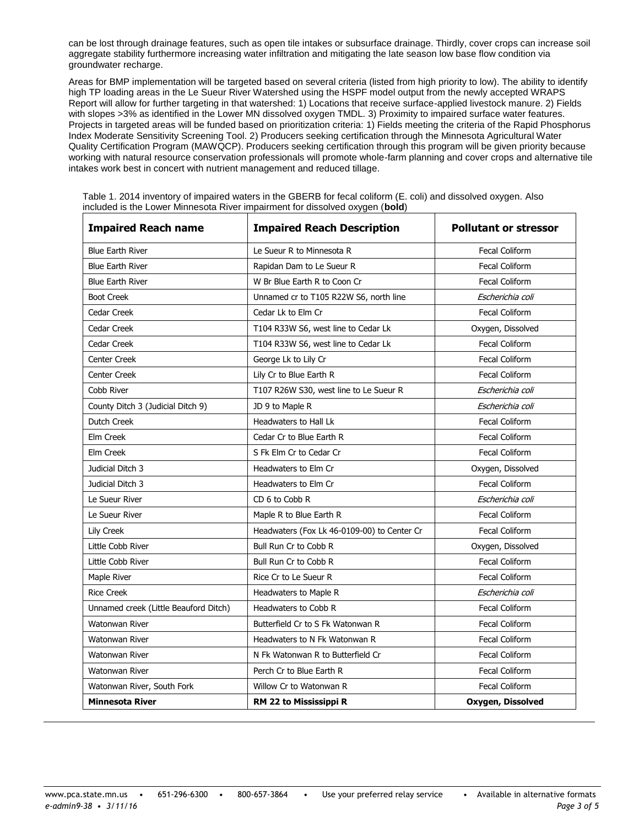can be lost through drainage features, such as open tile intakes or subsurface drainage. Thirdly, cover crops can increase soil aggregate stability furthermore increasing water infiltration and mitigating the late season low base flow condition via groundwater recharge.

Areas for BMP implementation will be targeted based on several criteria (listed from high priority to low). The ability to identify high TP loading areas in the Le Sueur River Watershed using the HSPF model output from the newly accepted WRAPS Report will allow for further targeting in that watershed: 1) Locations that receive surface-applied livestock manure. 2) Fields with slopes >3% as identified in the Lower MN dissolved oxygen TMDL. 3) Proximity to impaired surface water features. Projects in targeted areas will be funded based on prioritization criteria: 1) Fields meeting the criteria of the Rapid Phosphorus Index Moderate Sensitivity Screening Tool. 2) Producers seeking certification through the Minnesota Agricultural Water Quality Certification Program (MAWQCP). Producers seeking certification through this program will be given priority because working with natural resource conservation professionals will promote whole-farm planning and cover crops and alternative tile intakes work best in concert with nutrient management and reduced tillage.

| <b>Impaired Reach name</b>            | <b>Impaired Reach Description</b>           | <b>Pollutant or stressor</b> |
|---------------------------------------|---------------------------------------------|------------------------------|
| <b>Blue Earth River</b>               | Le Sueur R to Minnesota R                   | <b>Fecal Coliform</b>        |
| <b>Blue Earth River</b>               | Rapidan Dam to Le Sueur R                   | <b>Fecal Coliform</b>        |
| <b>Blue Earth River</b>               | W Br Blue Earth R to Coon Cr                | <b>Fecal Coliform</b>        |
| <b>Boot Creek</b>                     | Unnamed cr to T105 R22W S6, north line      | Escherichia coli             |
| Cedar Creek                           | Cedar Lk to Elm Cr                          | <b>Fecal Coliform</b>        |
| Cedar Creek                           | T104 R33W S6, west line to Cedar Lk         | Oxygen, Dissolved            |
| Cedar Creek                           | T104 R33W S6, west line to Cedar Lk         | <b>Fecal Coliform</b>        |
| Center Creek                          | George Lk to Lily Cr                        | <b>Fecal Coliform</b>        |
| <b>Center Creek</b>                   | Lily Cr to Blue Earth R                     | <b>Fecal Coliform</b>        |
| Cobb River                            | T107 R26W S30, west line to Le Sueur R      | Escherichia coli             |
| County Ditch 3 (Judicial Ditch 9)     | JD 9 to Maple R                             | Escherichia coli             |
| Dutch Creek                           | Headwaters to Hall Lk                       | <b>Fecal Coliform</b>        |
| Elm Creek                             | Cedar Cr to Blue Earth R                    | Fecal Coliform               |
| Elm Creek                             | S Fk Elm Cr to Cedar Cr                     | <b>Fecal Coliform</b>        |
| Judicial Ditch 3                      | Headwaters to Elm Cr                        | Oxygen, Dissolved            |
| Judicial Ditch 3                      | Headwaters to Elm Cr                        | <b>Fecal Coliform</b>        |
| Le Sueur River                        | CD 6 to Cobb R                              | Escherichia coli             |
| Le Sueur River                        | Maple R to Blue Earth R                     | <b>Fecal Coliform</b>        |
| Lily Creek                            | Headwaters (Fox Lk 46-0109-00) to Center Cr | <b>Fecal Coliform</b>        |
| Little Cobb River                     | Bull Run Cr to Cobb R                       | Oxygen, Dissolved            |
| Little Cobb River                     | Bull Run Cr to Cobb R                       | <b>Fecal Coliform</b>        |
| Maple River                           | Rice Cr to Le Sueur R                       | <b>Fecal Coliform</b>        |
| <b>Rice Creek</b>                     | Headwaters to Maple R                       | Escherichia coli             |
| Unnamed creek (Little Beauford Ditch) | Headwaters to Cobb R                        | <b>Fecal Coliform</b>        |
| Watonwan River                        | Butterfield Cr to S Fk Watonwan R           | <b>Fecal Coliform</b>        |
| <b>Watonwan River</b>                 | Headwaters to N Fk Watonwan R               | <b>Fecal Coliform</b>        |
| <b>Watonwan River</b>                 | N Fk Watonwan R to Butterfield Cr           | Fecal Coliform               |
| <b>Watonwan River</b>                 | Perch Cr to Blue Earth R                    | <b>Fecal Coliform</b>        |
| Watonwan River, South Fork            | Willow Cr to Watonwan R                     | <b>Fecal Coliform</b>        |
| <b>Minnesota River</b>                | <b>RM 22 to Mississippi R</b>               | Oxygen, Dissolved            |

Table 1. 2014 inventory of impaired waters in the GBERB for fecal coliform (E. coli) and dissolved oxygen. Also included is the Lower Minnesota River impairment for dissolved oxygen (**bold**)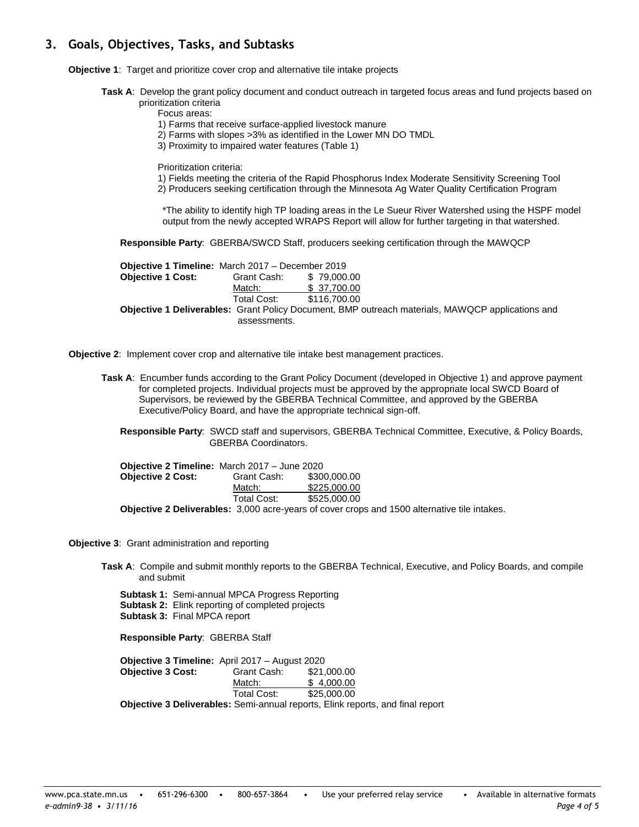# **3. Goals, Objectives, Tasks, and Subtasks**

- **Objective 1**: Target and prioritize cover crop and alternative tile intake projects
	- **Task A**: Develop the grant policy document and conduct outreach in targeted focus areas and fund projects based on prioritization criteria
		- Focus areas:
		- 1) Farms that receive surface-applied livestock manure
		- 2) Farms with slopes >3% as identified in the Lower MN DO TMDL
		- 3) Proximity to impaired water features (Table 1)

Prioritization criteria:

- 1) Fields meeting the criteria of the Rapid Phosphorus Index Moderate Sensitivity Screening Tool
- 2) Producers seeking certification through the Minnesota Ag Water Quality Certification Program

\*The ability to identify high TP loading areas in the Le Sueur River Watershed using the HSPF model output from the newly accepted WRAPS Report will allow for further targeting in that watershed.

**Responsible Party**: GBERBA/SWCD Staff, producers seeking certification through the MAWQCP

| <b>Objective 1 Timeline:</b> March 2017 – December 2019                                                 |                         |              |
|---------------------------------------------------------------------------------------------------------|-------------------------|--------------|
| <b>Objective 1 Cost:</b>                                                                                | Grant Cash: \$79,000,00 |              |
|                                                                                                         | Match:                  | \$ 37,700.00 |
|                                                                                                         | Total Cost:             | \$116,700.00 |
| <b>Objective 1 Deliverables:</b> Grant Policy Document, BMP outreach materials, MAWQCP applications and |                         |              |
|                                                                                                         | assessments.            |              |

**Objective 2**: Implement cover crop and alternative tile intake best management practices.

**Task A**: Encumber funds according to the Grant Policy Document (developed in Objective 1) and approve payment for completed projects. Individual projects must be approved by the appropriate local SWCD Board of Supervisors, be reviewed by the GBERBA Technical Committee, and approved by the GBERBA Executive/Policy Board, and have the appropriate technical sign-off.

**Responsible Party**: SWCD staff and supervisors, GBERBA Technical Committee, Executive, & Policy Boards, GBERBA Coordinators.

| <b>Objective 2 Timeline:</b> March 2017 – June 2020 |             |                                                                                                     |
|-----------------------------------------------------|-------------|-----------------------------------------------------------------------------------------------------|
| <b>Objective 2 Cost:</b>                            | Grant Cash: | \$300,000,00                                                                                        |
|                                                     | Match:      | \$225,000,00                                                                                        |
|                                                     | Total Cost: | \$525,000.00                                                                                        |
|                                                     |             | <b>Objective 2 Deliverables:</b> 3,000 acre-years of cover crops and 1500 alternative tile intakes. |

**Objective 3**: Grant administration and reporting

**Task A**: Compile and submit monthly reports to the GBERBA Technical, Executive, and Policy Boards, and compile and submit

**Subtask 1:** Semi-annual MPCA Progress Reporting **Subtask 2:** Elink reporting of completed projects **Subtask 3:**Final MPCA report

**Responsible Party**: GBERBA Staff

**Objective 3 Timeline:** April 2017 – August 2020 **Objective 3 Cost:** Grant Cash: \$21,000.00 Match: \$ 4,000.00<br>Total Cost: \$25,000.00  $$25,000.00$ **Objective 3 Deliverables:** Semi-annual reports, Elink reports, and final report